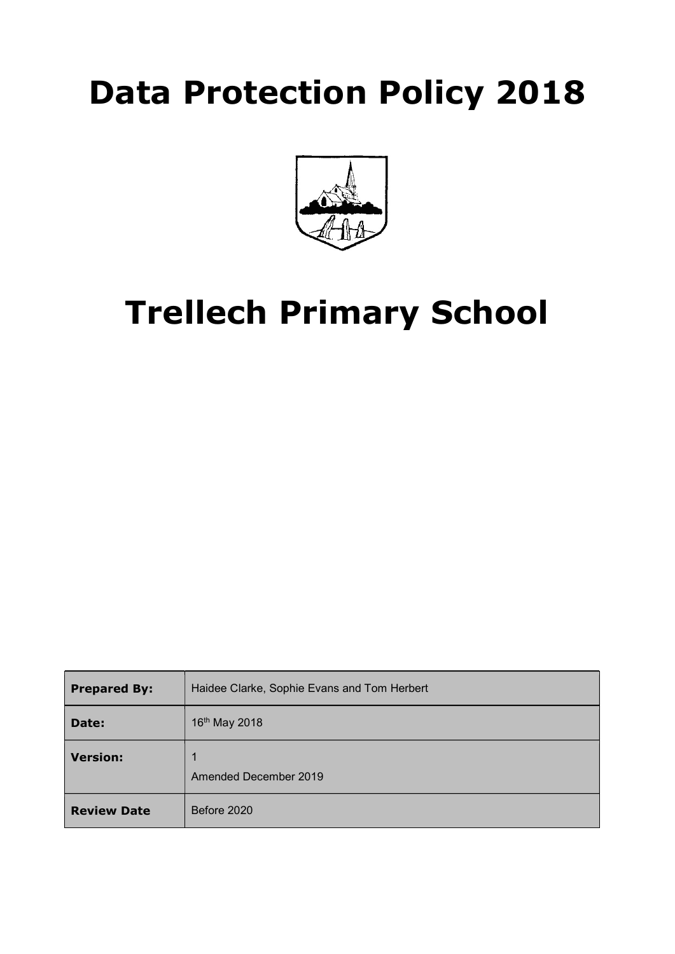## Data Protection Policy 2018



# Trellech Primary School

| <b>Prepared By:</b> | Haidee Clarke, Sophie Evans and Tom Herbert |  |
|---------------------|---------------------------------------------|--|
| Date:               | 16th May 2018                               |  |
| <b>Version:</b>     | 1<br>Amended December 2019                  |  |
| <b>Review Date</b>  | Before 2020                                 |  |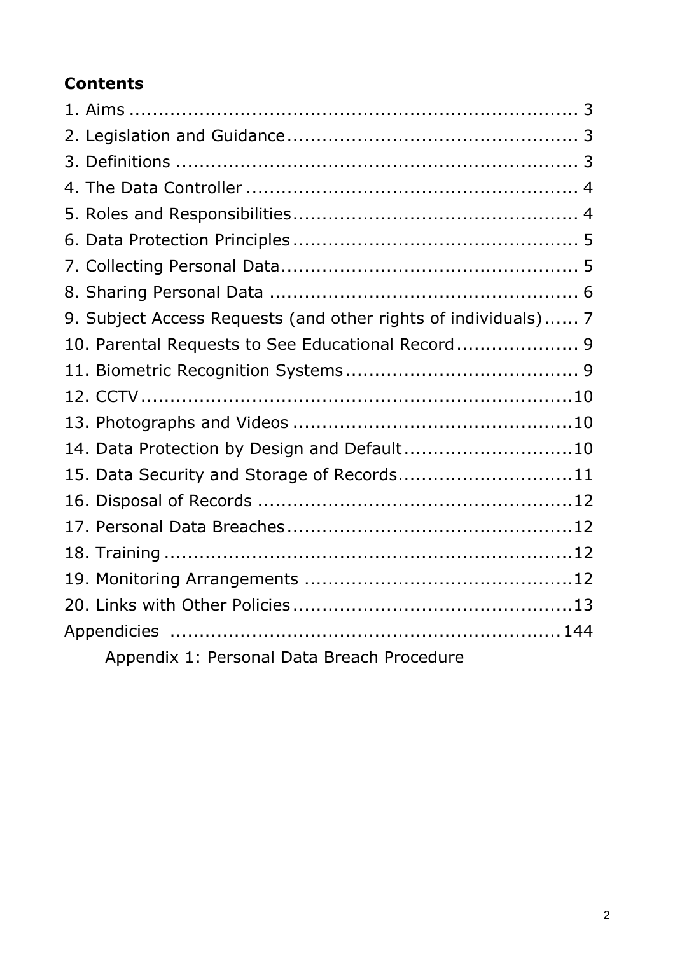## Contents

| 9. Subject Access Requests (and other rights of individuals) 7 |
|----------------------------------------------------------------|
| 10. Parental Requests to See Educational Record 9              |
|                                                                |
|                                                                |
|                                                                |
| 14. Data Protection by Design and Default10                    |
| 15. Data Security and Storage of Records11                     |
|                                                                |
|                                                                |
|                                                                |
|                                                                |
|                                                                |
|                                                                |
| Appendix 1: Personal Data Breach Procedure                     |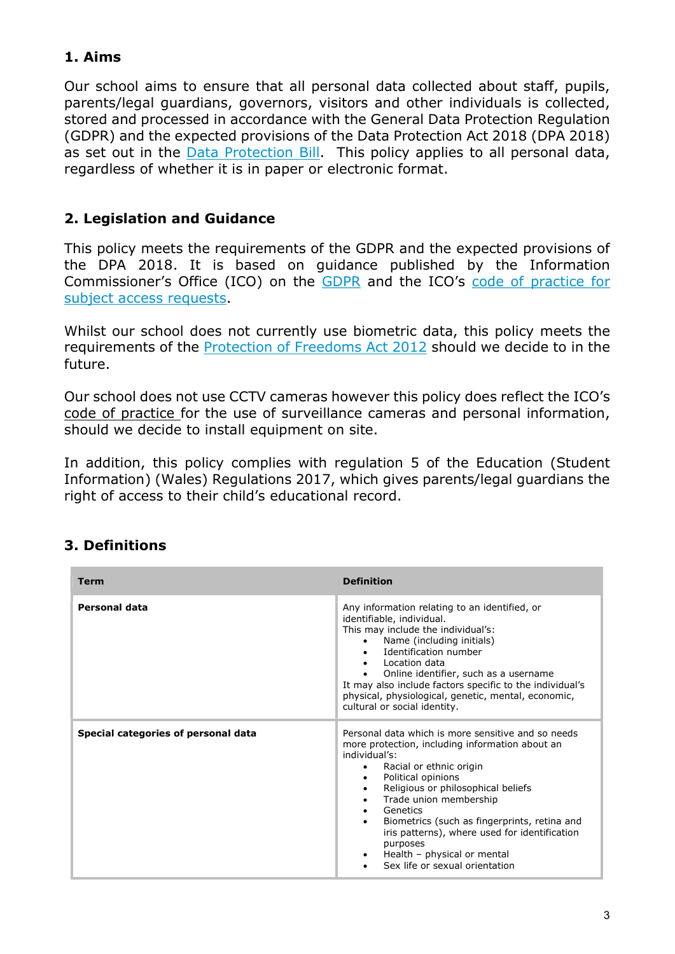## 1. Aims

Our school aims to ensure that all personal data collected about staff, pupils, parents/legal guardians, governors, visitors and other individuals is collected, stored and processed in accordance with the General Data Protection Regulation (GDPR) and the expected provisions of the Data Protection Act 2018 (DPA 2018) as set out in the **Data Protection Bill.** This policy applies to all personal data, regardless of whether it is in paper or electronic format.

#### 2. Legislation and Guidance

This policy meets the requirements of the GDPR and the expected provisions of the DPA 2018. It is based on guidance published by the Information Commissioner's Office (ICO) on the GDPR and the ICO's code of practice for subject access requests.

Whilst our school does not currently use biometric data, this policy meets the requirements of the Protection of Freedoms Act 2012 should we decide to in the future.

Our school does not use CCTV cameras however this policy does reflect the ICO's code of practice for the use of surveillance cameras and personal information, should we decide to install equipment on site.

In addition, this policy complies with regulation 5 of the Education (Student Information) (Wales) Regulations 2017, which gives parents/legal guardians the right of access to their child's educational record.

#### 3. Definitions

| Term                                | <b>Definition</b>                                                                                                                                                                                                                                                                                                                                                                                                                                                                                  |
|-------------------------------------|----------------------------------------------------------------------------------------------------------------------------------------------------------------------------------------------------------------------------------------------------------------------------------------------------------------------------------------------------------------------------------------------------------------------------------------------------------------------------------------------------|
| <b>Personal data</b>                | Any information relating to an identified, or<br>identifiable, individual.<br>This may include the individual's:<br>Name (including initials)<br>Identification number<br>$\bullet$<br>• Location data<br>Online identifier, such as a username<br>It may also include factors specific to the individual's<br>physical, physiological, genetic, mental, economic,<br>cultural or social identity.                                                                                                 |
| Special categories of personal data | Personal data which is more sensitive and so needs<br>more protection, including information about an<br>individual's:<br>Racial or ethnic origin<br>Political opinions<br>$\bullet$<br>Religious or philosophical beliefs<br>$\bullet$<br>Trade union membership<br>$\bullet$<br>Genetics<br>$\bullet$<br>Biometrics (such as fingerprints, retina and<br>iris patterns), where used for identification<br>purposes<br>Health - physical or mental<br>$\bullet$<br>Sex life or sexual orientation |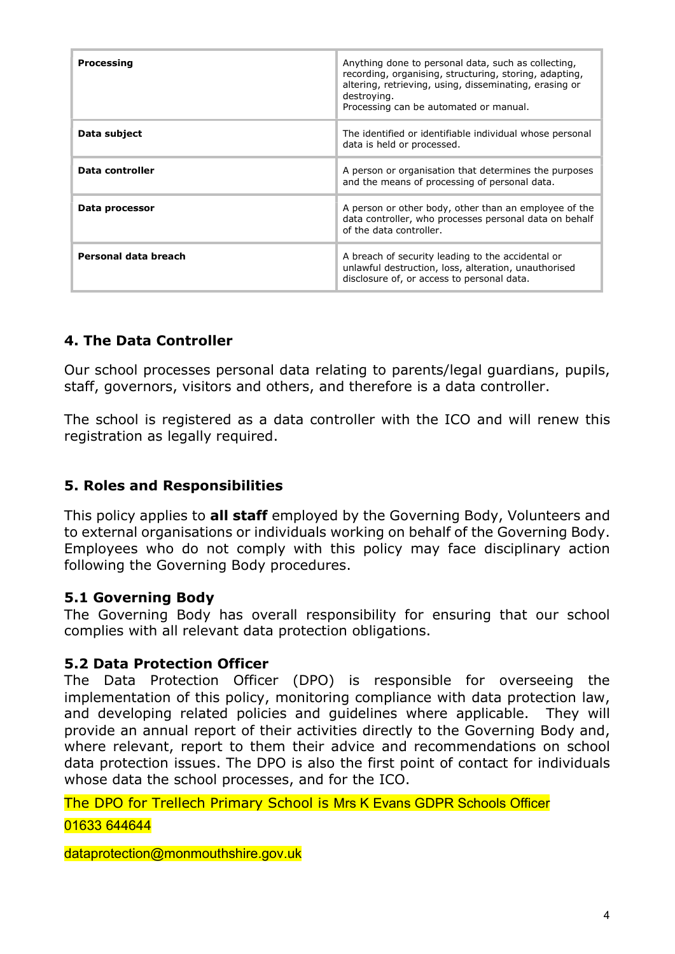| <b>Processing</b>    | Anything done to personal data, such as collecting,<br>recording, organising, structuring, storing, adapting,<br>altering, retrieving, using, disseminating, erasing or<br>destroying.<br>Processing can be automated or manual. |
|----------------------|----------------------------------------------------------------------------------------------------------------------------------------------------------------------------------------------------------------------------------|
| Data subject         | The identified or identifiable individual whose personal<br>data is held or processed.                                                                                                                                           |
| Data controller      | A person or organisation that determines the purposes<br>and the means of processing of personal data.                                                                                                                           |
| Data processor       | A person or other body, other than an employee of the<br>data controller, who processes personal data on behalf<br>of the data controller.                                                                                       |
| Personal data breach | A breach of security leading to the accidental or<br>unlawful destruction, loss, alteration, unauthorised<br>disclosure of, or access to personal data.                                                                          |

#### 4. The Data Controller

Our school processes personal data relating to parents/legal guardians, pupils, staff, governors, visitors and others, and therefore is a data controller.

The school is registered as a data controller with the ICO and will renew this registration as legally required.

#### 5. Roles and Responsibilities

This policy applies to **all staff** employed by the Governing Body, Volunteers and to external organisations or individuals working on behalf of the Governing Body. Employees who do not comply with this policy may face disciplinary action following the Governing Body procedures.

#### 5.1 Governing Body

The Governing Body has overall responsibility for ensuring that our school complies with all relevant data protection obligations.

#### 5.2 Data Protection Officer

The Data Protection Officer (DPO) is responsible for overseeing the implementation of this policy, monitoring compliance with data protection law, and developing related policies and guidelines where applicable. They will provide an annual report of their activities directly to the Governing Body and, where relevant, report to them their advice and recommendations on school data protection issues. The DPO is also the first point of contact for individuals whose data the school processes, and for the ICO.

The DPO for Trellech Primary School is Mrs K Evans GDPR Schools Officer

#### 01633 644644

dataprotection@monmouthshire.gov.uk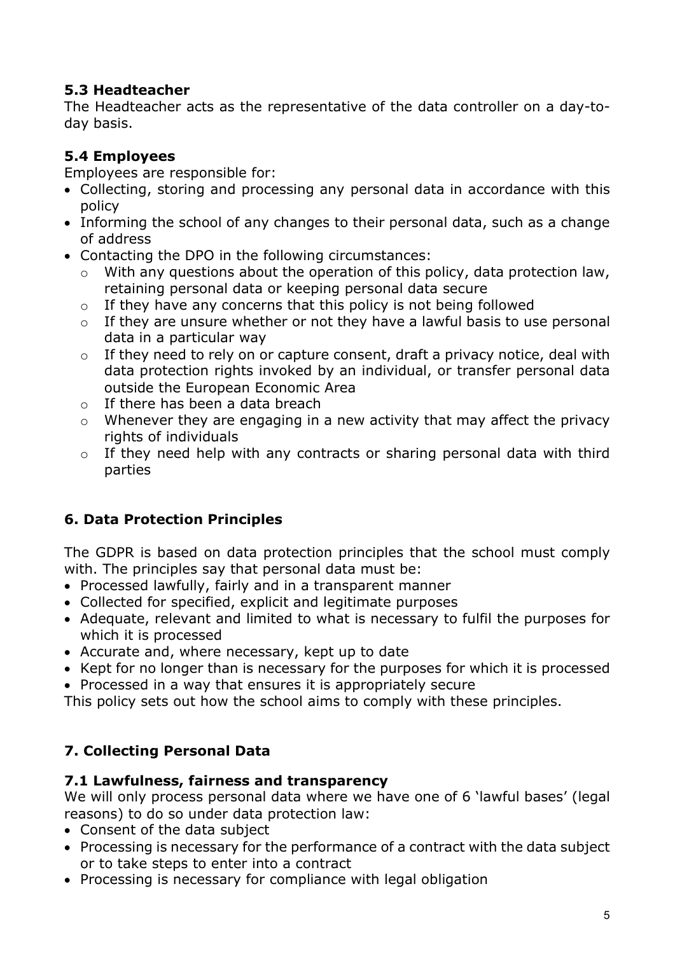## 5.3 Headteacher

The Headteacher acts as the representative of the data controller on a day-today basis.

## 5.4 Employees

Employees are responsible for:

- Collecting, storing and processing any personal data in accordance with this policy
- Informing the school of any changes to their personal data, such as a change of address
- Contacting the DPO in the following circumstances:
	- $\circ$  With any questions about the operation of this policy, data protection law, retaining personal data or keeping personal data secure
	- $\circ$  If they have any concerns that this policy is not being followed
	- $\circ$  If they are unsure whether or not they have a lawful basis to use personal data in a particular way
	- $\circ$  If they need to rely on or capture consent, draft a privacy notice, deal with data protection rights invoked by an individual, or transfer personal data outside the European Economic Area
	- $\circ$  If there has been a data breach
	- $\circ$  Whenever they are engaging in a new activity that may affect the privacy rights of individuals
	- o If they need help with any contracts or sharing personal data with third parties

## 6. Data Protection Principles

The GDPR is based on data protection principles that the school must comply with. The principles say that personal data must be:

- Processed lawfully, fairly and in a transparent manner
- Collected for specified, explicit and legitimate purposes
- Adequate, relevant and limited to what is necessary to fulfil the purposes for which it is processed
- Accurate and, where necessary, kept up to date
- Kept for no longer than is necessary for the purposes for which it is processed
- Processed in a way that ensures it is appropriately secure

This policy sets out how the school aims to comply with these principles.

## 7. Collecting Personal Data

## 7.1 Lawfulness, fairness and transparency

We will only process personal data where we have one of 6 'lawful bases' (legal reasons) to do so under data protection law:

- Consent of the data subject
- Processing is necessary for the performance of a contract with the data subject or to take steps to enter into a contract
- Processing is necessary for compliance with legal obligation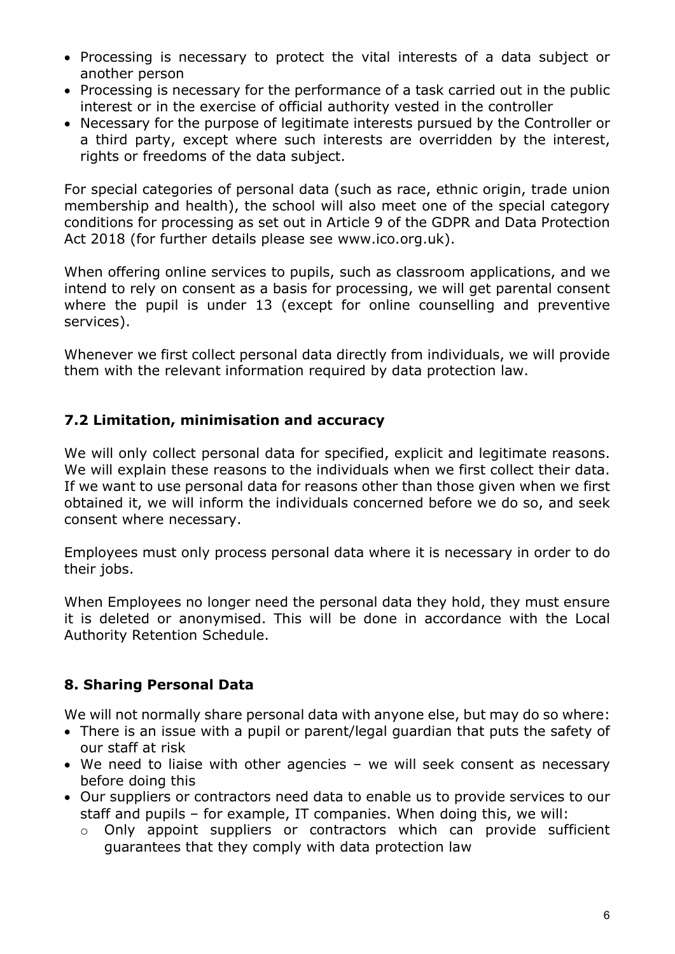- Processing is necessary to protect the vital interests of a data subject or another person
- Processing is necessary for the performance of a task carried out in the public interest or in the exercise of official authority vested in the controller
- Necessary for the purpose of legitimate interests pursued by the Controller or a third party, except where such interests are overridden by the interest, rights or freedoms of the data subject.

For special categories of personal data (such as race, ethnic origin, trade union membership and health), the school will also meet one of the special category conditions for processing as set out in Article 9 of the GDPR and Data Protection Act 2018 (for further details please see www.ico.org.uk).

When offering online services to pupils, such as classroom applications, and we intend to rely on consent as a basis for processing, we will get parental consent where the pupil is under 13 (except for online counselling and preventive services).

Whenever we first collect personal data directly from individuals, we will provide them with the relevant information required by data protection law.

## 7.2 Limitation, minimisation and accuracy

We will only collect personal data for specified, explicit and legitimate reasons. We will explain these reasons to the individuals when we first collect their data. If we want to use personal data for reasons other than those given when we first obtained it, we will inform the individuals concerned before we do so, and seek consent where necessary.

Employees must only process personal data where it is necessary in order to do their jobs.

When Employees no longer need the personal data they hold, they must ensure it is deleted or anonymised. This will be done in accordance with the Local Authority Retention Schedule.

## 8. Sharing Personal Data

We will not normally share personal data with anyone else, but may do so where:

- There is an issue with a pupil or parent/legal guardian that puts the safety of our staff at risk
- We need to liaise with other agencies we will seek consent as necessary before doing this
- Our suppliers or contractors need data to enable us to provide services to our staff and pupils – for example, IT companies. When doing this, we will:
	- o Only appoint suppliers or contractors which can provide sufficient guarantees that they comply with data protection law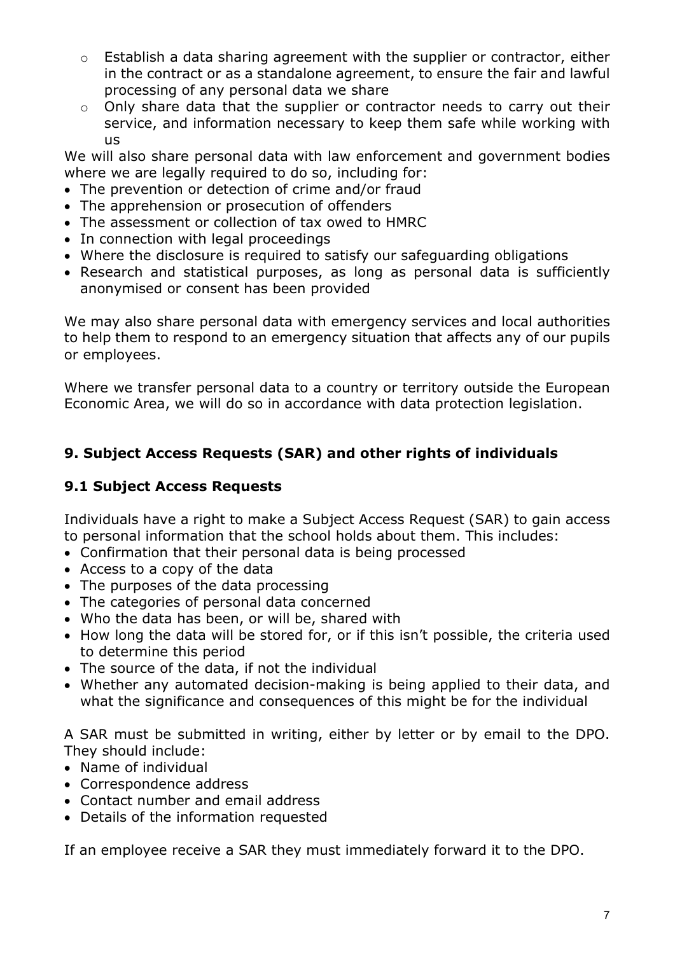- o Establish a data sharing agreement with the supplier or contractor, either in the contract or as a standalone agreement, to ensure the fair and lawful processing of any personal data we share
- o Only share data that the supplier or contractor needs to carry out their service, and information necessary to keep them safe while working with us

We will also share personal data with law enforcement and government bodies where we are legally required to do so, including for:

- The prevention or detection of crime and/or fraud
- The apprehension or prosecution of offenders
- The assessment or collection of tax owed to HMRC
- In connection with legal proceedings
- Where the disclosure is required to satisfy our safeguarding obligations
- Research and statistical purposes, as long as personal data is sufficiently anonymised or consent has been provided

We may also share personal data with emergency services and local authorities to help them to respond to an emergency situation that affects any of our pupils or employees.

Where we transfer personal data to a country or territory outside the European Economic Area, we will do so in accordance with data protection legislation.

## 9. Subject Access Requests (SAR) and other rights of individuals

#### 9.1 Subject Access Requests

Individuals have a right to make a Subject Access Request (SAR) to gain access to personal information that the school holds about them. This includes:

- Confirmation that their personal data is being processed
- Access to a copy of the data
- The purposes of the data processing
- The categories of personal data concerned
- Who the data has been, or will be, shared with
- How long the data will be stored for, or if this isn't possible, the criteria used to determine this period
- The source of the data, if not the individual
- Whether any automated decision-making is being applied to their data, and what the significance and consequences of this might be for the individual

A SAR must be submitted in writing, either by letter or by email to the DPO. They should include:

- Name of individual
- Correspondence address
- Contact number and email address
- Details of the information requested

If an employee receive a SAR they must immediately forward it to the DPO.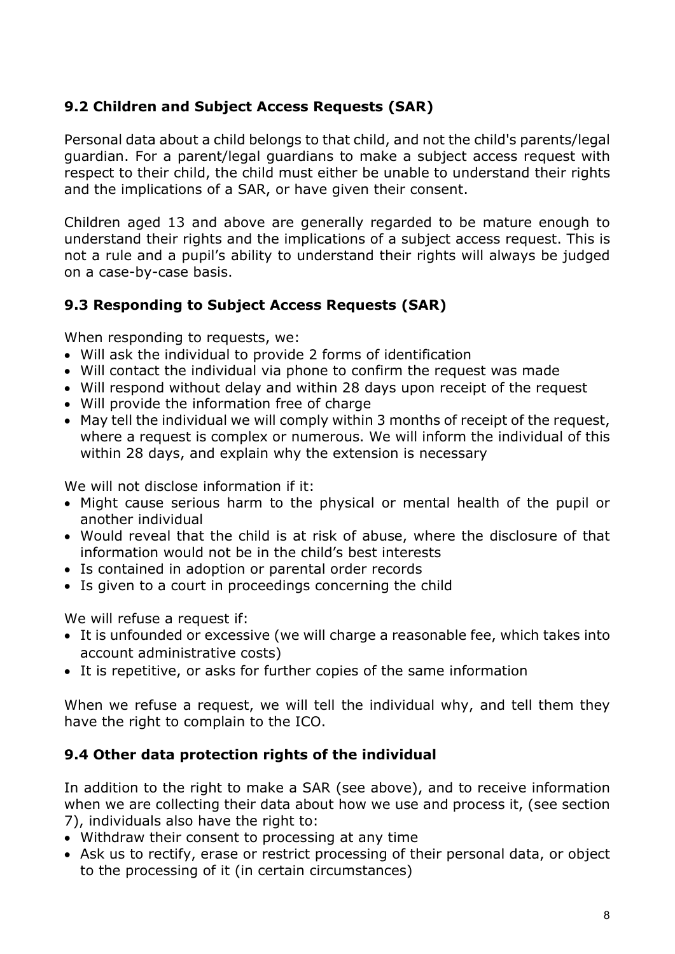## 9.2 Children and Subject Access Requests (SAR)

Personal data about a child belongs to that child, and not the child's parents/legal guardian. For a parent/legal guardians to make a subject access request with respect to their child, the child must either be unable to understand their rights and the implications of a SAR, or have given their consent.

Children aged 13 and above are generally regarded to be mature enough to understand their rights and the implications of a subject access request. This is not a rule and a pupil's ability to understand their rights will always be judged on a case-by-case basis.

## 9.3 Responding to Subject Access Requests (SAR)

When responding to requests, we:

- Will ask the individual to provide 2 forms of identification
- Will contact the individual via phone to confirm the request was made
- Will respond without delay and within 28 days upon receipt of the request
- Will provide the information free of charge
- May tell the individual we will comply within 3 months of receipt of the request, where a request is complex or numerous. We will inform the individual of this within 28 days, and explain why the extension is necessary

We will not disclose information if it:

- Might cause serious harm to the physical or mental health of the pupil or another individual
- Would reveal that the child is at risk of abuse, where the disclosure of that information would not be in the child's best interests
- Is contained in adoption or parental order records
- Is given to a court in proceedings concerning the child

We will refuse a request if:

- It is unfounded or excessive (we will charge a reasonable fee, which takes into account administrative costs)
- It is repetitive, or asks for further copies of the same information

When we refuse a request, we will tell the individual why, and tell them they have the right to complain to the ICO.

#### 9.4 Other data protection rights of the individual

In addition to the right to make a SAR (see above), and to receive information when we are collecting their data about how we use and process it, (see section 7), individuals also have the right to:

- Withdraw their consent to processing at any time
- Ask us to rectify, erase or restrict processing of their personal data, or object to the processing of it (in certain circumstances)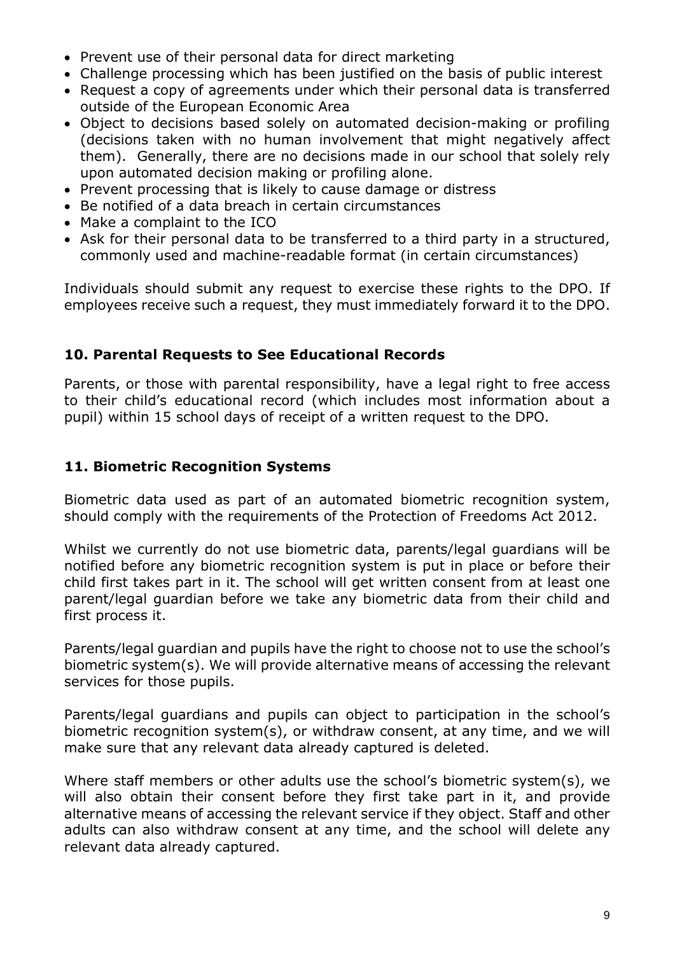- Prevent use of their personal data for direct marketing
- Challenge processing which has been justified on the basis of public interest
- Request a copy of agreements under which their personal data is transferred outside of the European Economic Area
- Object to decisions based solely on automated decision-making or profiling (decisions taken with no human involvement that might negatively affect them). Generally, there are no decisions made in our school that solely rely upon automated decision making or profiling alone.
- Prevent processing that is likely to cause damage or distress
- Be notified of a data breach in certain circumstances
- Make a complaint to the ICO
- Ask for their personal data to be transferred to a third party in a structured, commonly used and machine-readable format (in certain circumstances)

Individuals should submit any request to exercise these rights to the DPO. If employees receive such a request, they must immediately forward it to the DPO.

#### 10. Parental Requests to See Educational Records

Parents, or those with parental responsibility, have a legal right to free access to their child's educational record (which includes most information about a pupil) within 15 school days of receipt of a written request to the DPO.

#### 11. Biometric Recognition Systems

Biometric data used as part of an automated biometric recognition system, should comply with the requirements of the Protection of Freedoms Act 2012.

Whilst we currently do not use biometric data, parents/legal guardians will be notified before any biometric recognition system is put in place or before their child first takes part in it. The school will get written consent from at least one parent/legal guardian before we take any biometric data from their child and first process it.

Parents/legal guardian and pupils have the right to choose not to use the school's biometric system(s). We will provide alternative means of accessing the relevant services for those pupils.

Parents/legal guardians and pupils can object to participation in the school's biometric recognition system(s), or withdraw consent, at any time, and we will make sure that any relevant data already captured is deleted.

Where staff members or other adults use the school's biometric system(s), we will also obtain their consent before they first take part in it, and provide alternative means of accessing the relevant service if they object. Staff and other adults can also withdraw consent at any time, and the school will delete any relevant data already captured.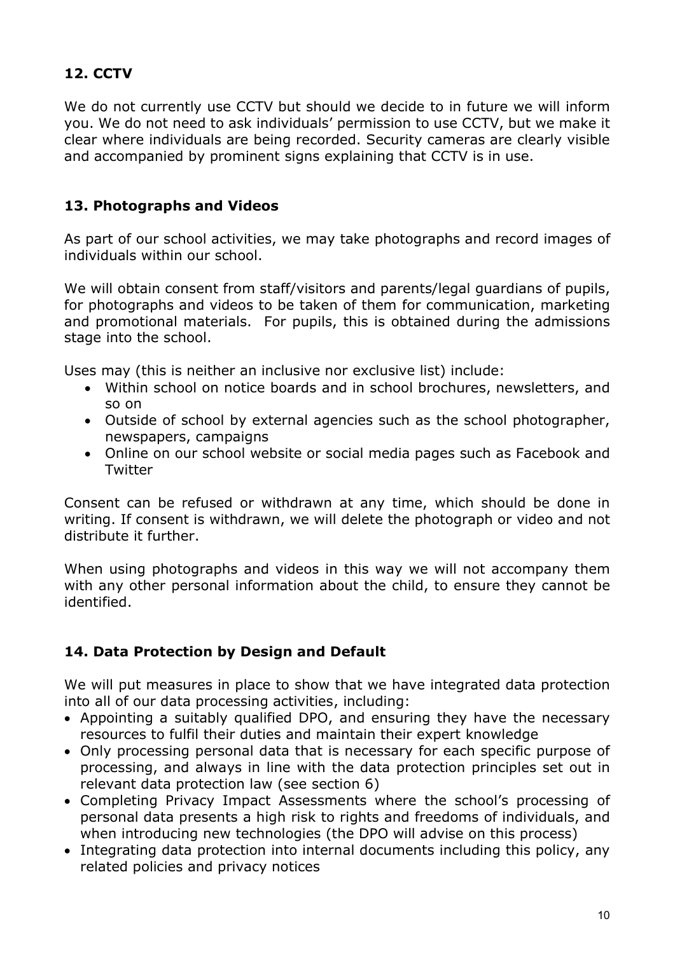## 12. CCTV

We do not currently use CCTV but should we decide to in future we will inform you. We do not need to ask individuals' permission to use CCTV, but we make it clear where individuals are being recorded. Security cameras are clearly visible and accompanied by prominent signs explaining that CCTV is in use.

#### 13. Photographs and Videos

As part of our school activities, we may take photographs and record images of individuals within our school.

We will obtain consent from staff/visitors and parents/legal guardians of pupils, for photographs and videos to be taken of them for communication, marketing and promotional materials. For pupils, this is obtained during the admissions stage into the school.

Uses may (this is neither an inclusive nor exclusive list) include:

- Within school on notice boards and in school brochures, newsletters, and so on
- Outside of school by external agencies such as the school photographer, newspapers, campaigns
- Online on our school website or social media pages such as Facebook and **Twitter**

Consent can be refused or withdrawn at any time, which should be done in writing. If consent is withdrawn, we will delete the photograph or video and not distribute it further.

When using photographs and videos in this way we will not accompany them with any other personal information about the child, to ensure they cannot be identified.

## 14. Data Protection by Design and Default

We will put measures in place to show that we have integrated data protection into all of our data processing activities, including:

- Appointing a suitably qualified DPO, and ensuring they have the necessary resources to fulfil their duties and maintain their expert knowledge
- Only processing personal data that is necessary for each specific purpose of processing, and always in line with the data protection principles set out in relevant data protection law (see section 6)
- Completing Privacy Impact Assessments where the school's processing of personal data presents a high risk to rights and freedoms of individuals, and when introducing new technologies (the DPO will advise on this process)
- Integrating data protection into internal documents including this policy, any related policies and privacy notices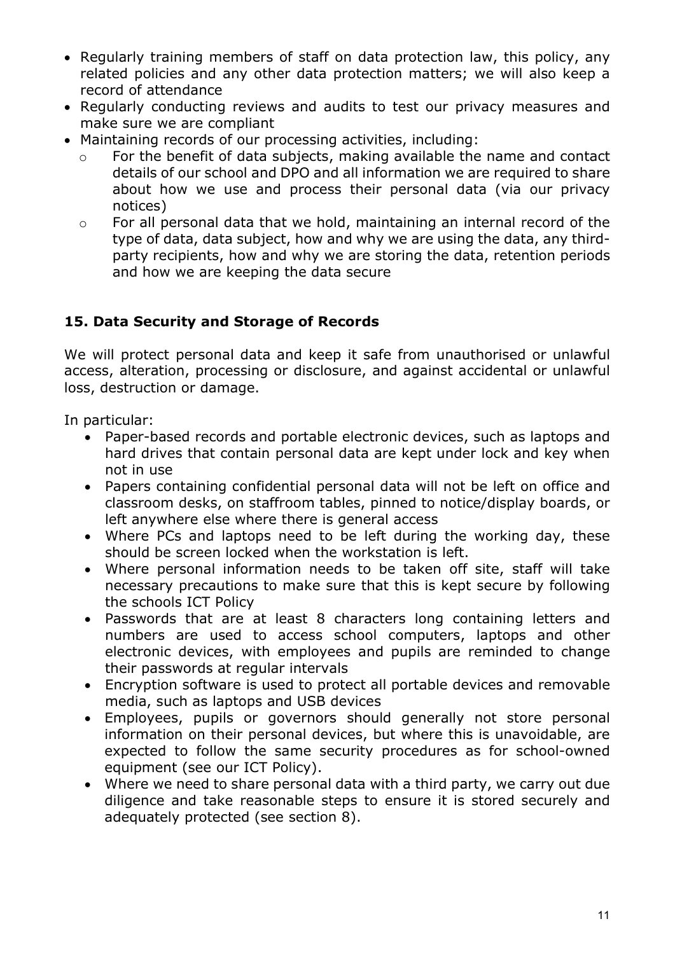- Regularly training members of staff on data protection law, this policy, any related policies and any other data protection matters; we will also keep a record of attendance
- Regularly conducting reviews and audits to test our privacy measures and make sure we are compliant
- Maintaining records of our processing activities, including:
	- o For the benefit of data subjects, making available the name and contact details of our school and DPO and all information we are required to share about how we use and process their personal data (via our privacy notices)
	- o For all personal data that we hold, maintaining an internal record of the type of data, data subject, how and why we are using the data, any thirdparty recipients, how and why we are storing the data, retention periods and how we are keeping the data secure

## 15. Data Security and Storage of Records

We will protect personal data and keep it safe from unauthorised or unlawful access, alteration, processing or disclosure, and against accidental or unlawful loss, destruction or damage.

In particular:

- Paper-based records and portable electronic devices, such as laptops and hard drives that contain personal data are kept under lock and key when not in use
- Papers containing confidential personal data will not be left on office and classroom desks, on staffroom tables, pinned to notice/display boards, or left anywhere else where there is general access
- Where PCs and laptops need to be left during the working day, these should be screen locked when the workstation is left.
- Where personal information needs to be taken off site, staff will take necessary precautions to make sure that this is kept secure by following the schools ICT Policy
- Passwords that are at least 8 characters long containing letters and numbers are used to access school computers, laptops and other electronic devices, with employees and pupils are reminded to change their passwords at regular intervals
- Encryption software is used to protect all portable devices and removable media, such as laptops and USB devices
- Employees, pupils or governors should generally not store personal information on their personal devices, but where this is unavoidable, are expected to follow the same security procedures as for school-owned equipment (see our ICT Policy).
- Where we need to share personal data with a third party, we carry out due diligence and take reasonable steps to ensure it is stored securely and adequately protected (see section 8).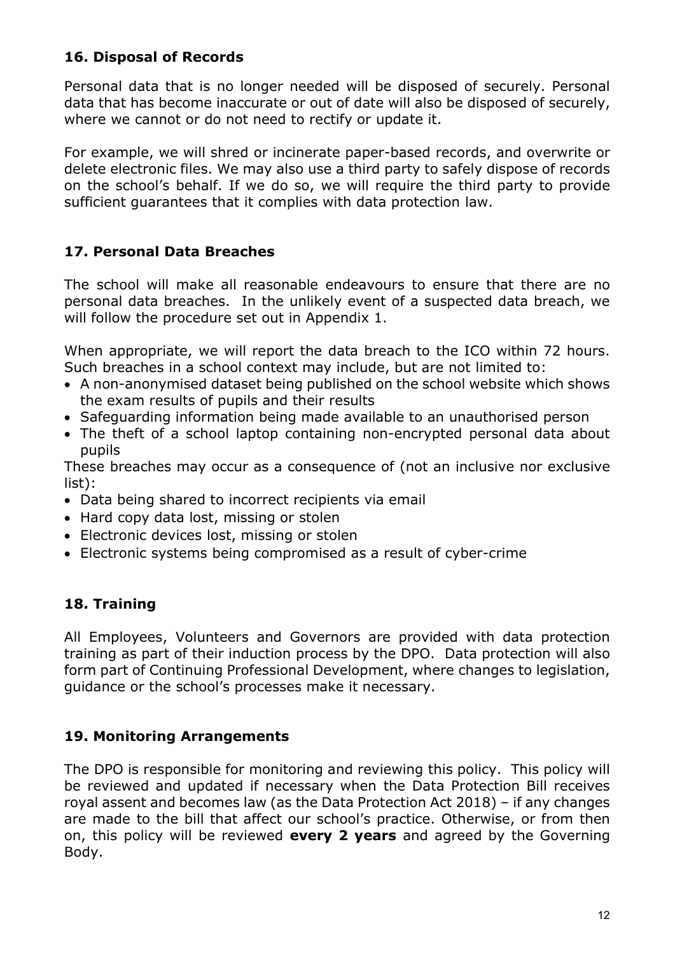#### 16. Disposal of Records

Personal data that is no longer needed will be disposed of securely. Personal data that has become inaccurate or out of date will also be disposed of securely, where we cannot or do not need to rectify or update it.

For example, we will shred or incinerate paper-based records, and overwrite or delete electronic files. We may also use a third party to safely dispose of records on the school's behalf. If we do so, we will require the third party to provide sufficient guarantees that it complies with data protection law.

#### 17. Personal Data Breaches

The school will make all reasonable endeavours to ensure that there are no personal data breaches. In the unlikely event of a suspected data breach, we will follow the procedure set out in Appendix 1.

When appropriate, we will report the data breach to the ICO within 72 hours. Such breaches in a school context may include, but are not limited to:

- A non-anonymised dataset being published on the school website which shows the exam results of pupils and their results
- Safeguarding information being made available to an unauthorised person
- The theft of a school laptop containing non-encrypted personal data about pupils

These breaches may occur as a consequence of (not an inclusive nor exclusive list):

- Data being shared to incorrect recipients via email
- Hard copy data lost, missing or stolen
- Electronic devices lost, missing or stolen
- Electronic systems being compromised as a result of cyber-crime

## 18. Training

All Employees, Volunteers and Governors are provided with data protection training as part of their induction process by the DPO. Data protection will also form part of Continuing Professional Development, where changes to legislation, guidance or the school's processes make it necessary.

#### 19. Monitoring Arrangements

The DPO is responsible for monitoring and reviewing this policy. This policy will be reviewed and updated if necessary when the Data Protection Bill receives royal assent and becomes law (as the Data Protection Act 2018) – if any changes are made to the bill that affect our school's practice. Otherwise, or from then on, this policy will be reviewed **every 2 years** and agreed by the Governing Body.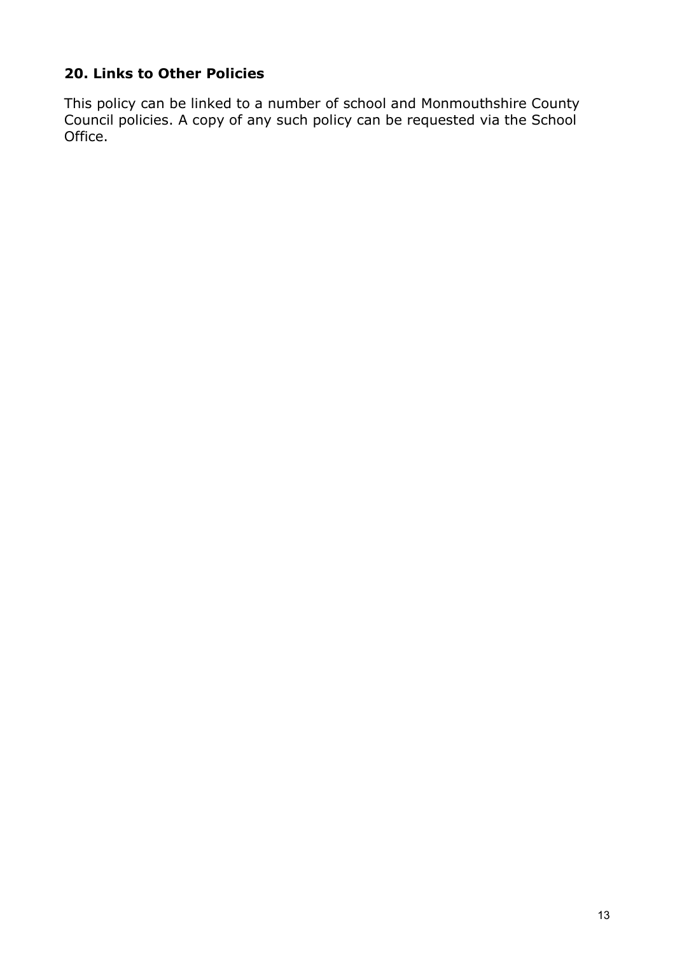## 20. Links to Other Policies

This policy can be linked to a number of school and Monmouthshire County Council policies. A copy of any such policy can be requested via the School Office.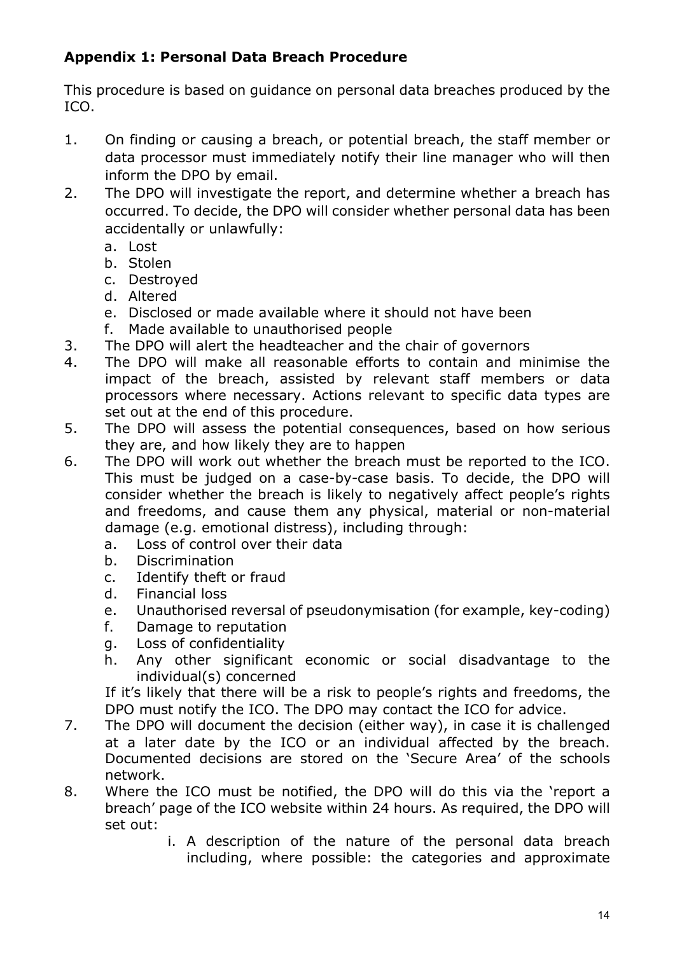## Appendix 1: Personal Data Breach Procedure

This procedure is based on guidance on personal data breaches produced by the ICO.

- 1. On finding or causing a breach, or potential breach, the staff member or data processor must immediately notify their line manager who will then inform the DPO by email.
- 2. The DPO will investigate the report, and determine whether a breach has occurred. To decide, the DPO will consider whether personal data has been accidentally or unlawfully:
	- a. Lost
	- b. Stolen
	- c. Destroyed
	- d. Altered
	- e. Disclosed or made available where it should not have been
	- f. Made available to unauthorised people
- 3. The DPO will alert the headteacher and the chair of governors
- 4. The DPO will make all reasonable efforts to contain and minimise the impact of the breach, assisted by relevant staff members or data processors where necessary. Actions relevant to specific data types are set out at the end of this procedure.
- 5. The DPO will assess the potential consequences, based on how serious they are, and how likely they are to happen
- 6. The DPO will work out whether the breach must be reported to the ICO. This must be judged on a case-by-case basis. To decide, the DPO will consider whether the breach is likely to negatively affect people's rights and freedoms, and cause them any physical, material or non-material damage (e.g. emotional distress), including through:
	- a. Loss of control over their data
	- b. Discrimination
	- c. Identify theft or fraud
	- d. Financial loss
	- e. Unauthorised reversal of pseudonymisation (for example, key-coding)
	- f. Damage to reputation
	- g. Loss of confidentiality
	- h. Any other significant economic or social disadvantage to the individual(s) concerned

If it's likely that there will be a risk to people's rights and freedoms, the DPO must notify the ICO. The DPO may contact the ICO for advice.

- 7. The DPO will document the decision (either way), in case it is challenged at a later date by the ICO or an individual affected by the breach. Documented decisions are stored on the 'Secure Area' of the schools network.
- 8. Where the ICO must be notified, the DPO will do this via the 'report a breach' page of the ICO website within 24 hours. As required, the DPO will set out:
	- i. A description of the nature of the personal data breach including, where possible: the categories and approximate